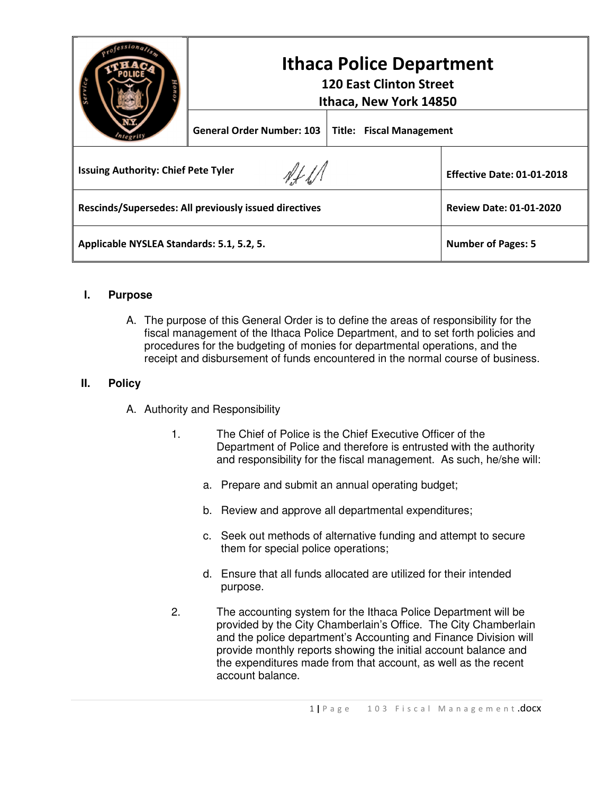|                                                       | <b>Ithaca Police Department</b><br><b>120 East Clinton Street</b><br>Ithaca, New York 14850 |                                 |                                |  |
|-------------------------------------------------------|---------------------------------------------------------------------------------------------|---------------------------------|--------------------------------|--|
|                                                       | <b>General Order Number: 103</b>                                                            | <b>Title: Fiscal Management</b> |                                |  |
| <b>Issuing Authority: Chief Pete Tyler</b>            | <b>Effective Date: 01-01-2018</b>                                                           |                                 |                                |  |
| Rescinds/Supersedes: All previously issued directives |                                                                                             |                                 | <b>Review Date: 01-01-2020</b> |  |
| Applicable NYSLEA Standards: 5.1, 5.2, 5.             |                                                                                             |                                 | <b>Number of Pages: 5</b>      |  |

## **I. Purpose**

A. The purpose of this General Order is to define the areas of responsibility for the fiscal management of the Ithaca Police Department, and to set forth policies and procedures for the budgeting of monies for departmental operations, and the receipt and disbursement of funds encountered in the normal course of business.

## **II. Policy**

- A. Authority and Responsibility
	- 1. The Chief of Police is the Chief Executive Officer of the Department of Police and therefore is entrusted with the authority and responsibility for the fiscal management. As such, he/she will:
		- a. Prepare and submit an annual operating budget;
		- b. Review and approve all departmental expenditures;
		- c. Seek out methods of alternative funding and attempt to secure them for special police operations;
		- d. Ensure that all funds allocated are utilized for their intended purpose.
	- 2. The accounting system for the Ithaca Police Department will be provided by the City Chamberlain's Office. The City Chamberlain and the police department's Accounting and Finance Division will provide monthly reports showing the initial account balance and the expenditures made from that account, as well as the recent account balance.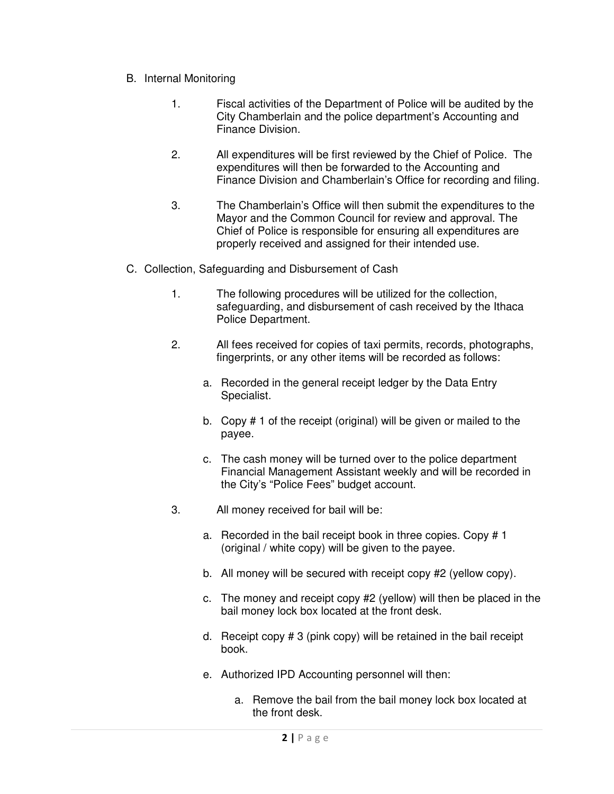- B. Internal Monitoring
	- 1. Fiscal activities of the Department of Police will be audited by the City Chamberlain and the police department's Accounting and Finance Division.
	- 2. All expenditures will be first reviewed by the Chief of Police. The expenditures will then be forwarded to the Accounting and Finance Division and Chamberlain's Office for recording and filing.
	- 3. The Chamberlain's Office will then submit the expenditures to the Mayor and the Common Council for review and approval. The Chief of Police is responsible for ensuring all expenditures are properly received and assigned for their intended use.
- C. Collection, Safeguarding and Disbursement of Cash
	- 1. The following procedures will be utilized for the collection, safeguarding, and disbursement of cash received by the Ithaca Police Department.
	- 2. All fees received for copies of taxi permits, records, photographs, fingerprints, or any other items will be recorded as follows:
		- a. Recorded in the general receipt ledger by the Data Entry Specialist.
		- b. Copy # 1 of the receipt (original) will be given or mailed to the payee.
		- c. The cash money will be turned over to the police department Financial Management Assistant weekly and will be recorded in the City's "Police Fees" budget account.
	- 3. All money received for bail will be:
		- a. Recorded in the bail receipt book in three copies. Copy # 1 (original / white copy) will be given to the payee.
		- b. All money will be secured with receipt copy #2 (yellow copy).
		- c. The money and receipt copy #2 (yellow) will then be placed in the bail money lock box located at the front desk.
		- d. Receipt copy # 3 (pink copy) will be retained in the bail receipt book.
		- e. Authorized IPD Accounting personnel will then:
			- a. Remove the bail from the bail money lock box located at the front desk.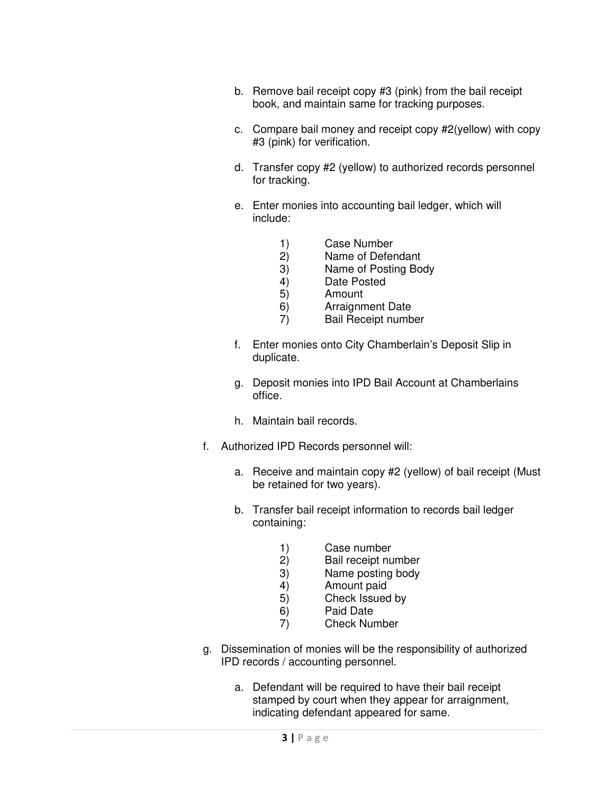- b. Remove bail receipt copy #3 (pink) from the bail receipt book, and maintain same for tracking purposes.
- c. Compare bail money and receipt copy #2(yellow) with copy #3 (pink) for verification.
- d. Transfer copy #2 (yellow) to authorized records personnel for tracking.
- e. Enter monies into accounting bail ledger, which will include:
	- 1) Case Number
	- 2) Name of Defendant
	- 3) Name of Posting Body
	- 4) Date Posted
	- 5) Amount
	- 6) Arraignment Date
	- 7) Bail Receipt number
- f. Enter monies onto City Chamberlain's Deposit Slip in duplicate.
- g. Deposit monies into IPD Bail Account at Chamberlains office.
- h. Maintain bail records.
- f. Authorized IPD Records personnel will:
	- a. Receive and maintain copy #2 (yellow) of bail receipt (Must be retained for two years).
	- b. Transfer bail receipt information to records bail ledger containing:
		- 1) Case number
		- 2) Bail receipt number
		- 3) Name posting body
		- 4) Amount paid
		- 5) Check Issued by
		- 6) Paid Date
		- 7) Check Number
- g. Dissemination of monies will be the responsibility of authorized IPD records / accounting personnel.
	- a. Defendant will be required to have their bail receipt stamped by court when they appear for arraignment, indicating defendant appeared for same.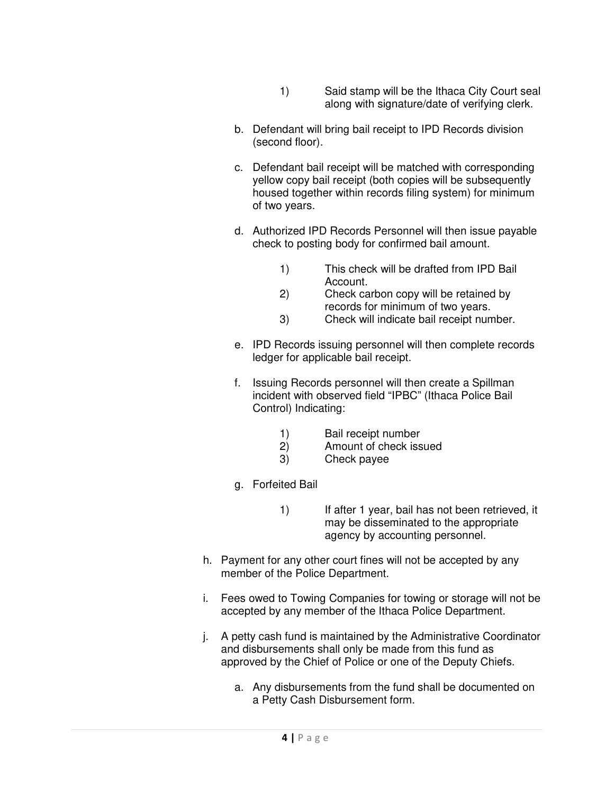- 1) Said stamp will be the Ithaca City Court seal along with signature/date of verifying clerk.
- b. Defendant will bring bail receipt to IPD Records division (second floor).
- c. Defendant bail receipt will be matched with corresponding yellow copy bail receipt (both copies will be subsequently housed together within records filing system) for minimum of two years.
- d. Authorized IPD Records Personnel will then issue payable check to posting body for confirmed bail amount.
	- 1) This check will be drafted from IPD Bail Account.
	- 2) Check carbon copy will be retained by records for minimum of two years.
	- 3) Check will indicate bail receipt number.
- e. IPD Records issuing personnel will then complete records ledger for applicable bail receipt.
- f. Issuing Records personnel will then create a Spillman incident with observed field "IPBC" (Ithaca Police Bail Control) Indicating:
	-
	- 1) Bail receipt number<br>2) Amount of check iss Amount of check issued
	- 3) Check payee
- g. Forfeited Bail
	- 1) If after 1 year, bail has not been retrieved, it may be disseminated to the appropriate agency by accounting personnel.
- h. Payment for any other court fines will not be accepted by any member of the Police Department.
- i. Fees owed to Towing Companies for towing or storage will not be accepted by any member of the Ithaca Police Department.
- j. A petty cash fund is maintained by the Administrative Coordinator and disbursements shall only be made from this fund as approved by the Chief of Police or one of the Deputy Chiefs.
	- a. Any disbursements from the fund shall be documented on a Petty Cash Disbursement form.